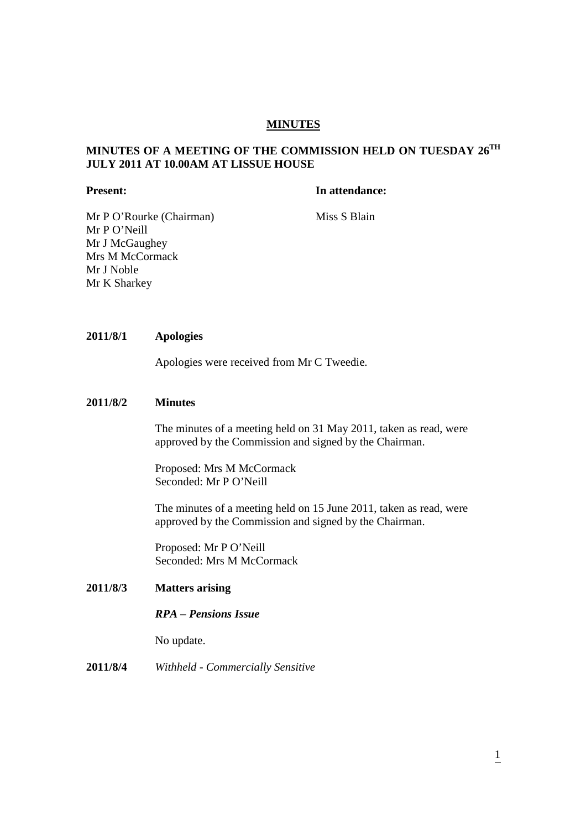# **MINUTES**

# **MINUTES OF A MEETING OF THE COMMISSION HELD ON TUESDAY 26TH JULY 2011 AT 10.00AM AT LISSUE HOUSE**

#### **Present:** In attendance:

Mr P O'Rourke (Chairman) Miss S Blain Mr P O'Neill Mr J McGaughey Mrs M McCormack Mr J Noble Mr K Sharkey

# **2011/8/1 Apologies**

Apologies were received from Mr C Tweedie.

### **2011/8/2 Minutes**

The minutes of a meeting held on 31 May 2011, taken as read, were approved by the Commission and signed by the Chairman.

Proposed: Mrs M McCormack Seconded: Mr P O'Neill

The minutes of a meeting held on 15 June 2011, taken as read, were approved by the Commission and signed by the Chairman.

Proposed: Mr P O'Neill Seconded: Mrs M McCormack

# **2011/8/3 Matters arising**

### *RPA – Pensions Issue*

No update.

# **2011/8/4** *Withheld - Commercially Sensitive*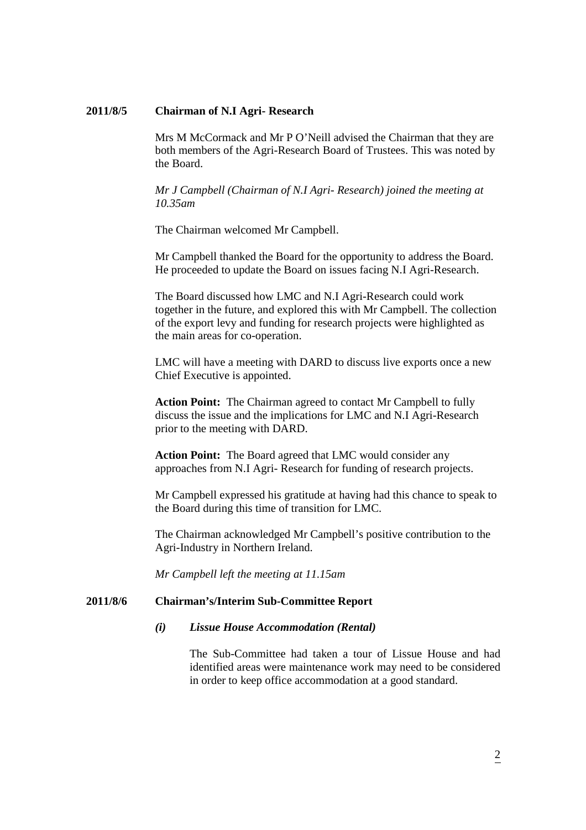#### **2011/8/5 Chairman of N.I Agri- Research**

Mrs M McCormack and Mr P O'Neill advised the Chairman that they are both members of the Agri-Research Board of Trustees. This was noted by the Board.

 *Mr J Campbell (Chairman of N.I Agri- Research) joined the meeting at 10.35am* 

The Chairman welcomed Mr Campbell.

 Mr Campbell thanked the Board for the opportunity to address the Board. He proceeded to update the Board on issues facing N.I Agri-Research.

 The Board discussed how LMC and N.I Agri-Research could work together in the future, and explored this with Mr Campbell. The collection of the export levy and funding for research projects were highlighted as the main areas for co-operation.

 LMC will have a meeting with DARD to discuss live exports once a new Chief Executive is appointed.

 **Action Point:** The Chairman agreed to contact Mr Campbell to fully discuss the issue and the implications for LMC and N.I Agri-Research prior to the meeting with DARD.

 **Action Point:** The Board agreed that LMC would consider any approaches from N.I Agri- Research for funding of research projects.

 Mr Campbell expressed his gratitude at having had this chance to speak to the Board during this time of transition for LMC.

 The Chairman acknowledged Mr Campbell's positive contribution to the Agri-Industry in Northern Ireland.

*Mr Campbell left the meeting at 11.15am*

#### **2011/8/6 Chairman's/Interim Sub-Committee Report**

#### *(i) Lissue House Accommodation (Rental)*

The Sub-Committee had taken a tour of Lissue House and had identified areas were maintenance work may need to be considered in order to keep office accommodation at a good standard.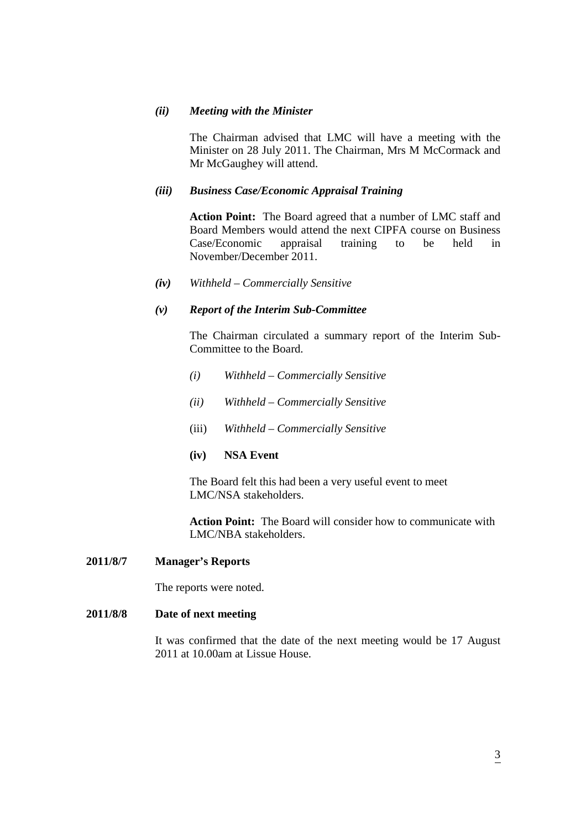### *(ii) Meeting with the Minister*

The Chairman advised that LMC will have a meeting with the Minister on 28 July 2011. The Chairman, Mrs M McCormack and Mr McGaughey will attend.

### *(iii) Business Case/Economic Appraisal Training*

**Action Point:** The Board agreed that a number of LMC staff and Board Members would attend the next CIPFA course on Business Case/Economic appraisal training to be held in November/December 2011.

*(iv) Withheld – Commercially Sensitive* 

### *(v) Report of the Interim Sub-Committee*

The Chairman circulated a summary report of the Interim Sub- Committee to the Board.

- *(i) Withheld Commercially Sensitive*
- *(ii) Withheld Commercially Sensitive*
- (iii) *Withheld Commercially Sensitive*
- **(iv) NSA Event**

The Board felt this had been a very useful event to meet LMC/NSA stakeholders.

 **Action Point:** The Board will consider how to communicate with LMC/NBA stakeholders.

#### **2011/8/7 Manager's Reports**

The reports were noted.

# **2011/8/8 Date of next meeting**

It was confirmed that the date of the next meeting would be 17 August 2011 at 10.00am at Lissue House.